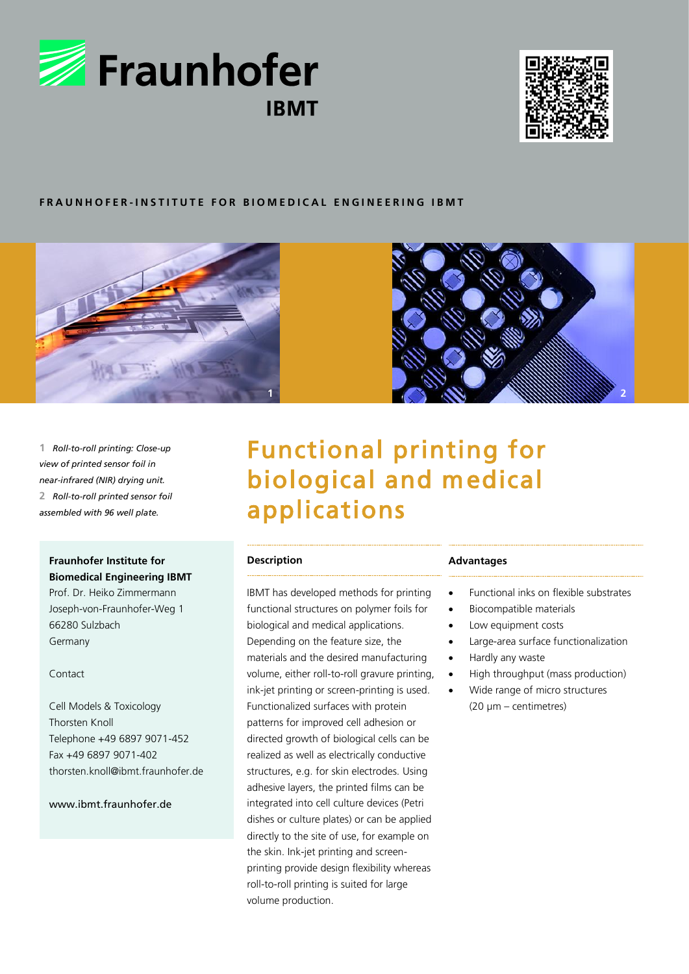



# **F R A U N H O F E R - I N S T I T U T E F O R B I O M E D I C A L E N G I N E E R I N G I B M T**





**1** *Roll-to-roll printing: Close-up view of printed sensor foil in near-infrared (NIR) drying unit.* **2** *Roll-to-roll printed sensor foil assembled with 96 well plate.*

## **Fraunhofer Institute for Biomedical Engineering IBMT**

Prof. Dr. Heiko Zimmermann Joseph-von-Fraunhofer-Weg 1 66280 Sulzbach Germany

#### Contact

Cell Models & Toxicology Thorsten Knoll Telephone +49 6897 9071-452 Fax +49 6897 9071-402 thorsten.knoll@ibmt.fraunhofer.de

# www.ibmt.fraunhofer.de

# Functional printing for biological and medical applications

## **Description**

IBMT has developed methods for printing functional structures on polymer foils for biological and medical applications. Depending on the feature size, the materials and the desired manufacturing volume, either roll-to-roll gravure printing, ink-jet printing or screen-printing is used. Functionalized surfaces with protein patterns for improved cell adhesion or directed growth of biological cells can be realized as well as electrically conductive structures, e.g. for skin electrodes. Using adhesive layers, the printed films can be integrated into cell culture devices (Petri dishes or culture plates) or can be applied directly to the site of use, for example on the skin. Ink-jet printing and screenprinting provide design flexibility whereas roll-to-roll printing is suited for large volume production.

#### **Advantages**

- Functional inks on flexible substrates
- Biocompatible materials
- Low equipment costs
- Large-area surface functionalization
- Hardly any waste
- High throughput (mass production)
- Wide range of micro structures (20 µm – centimetres)